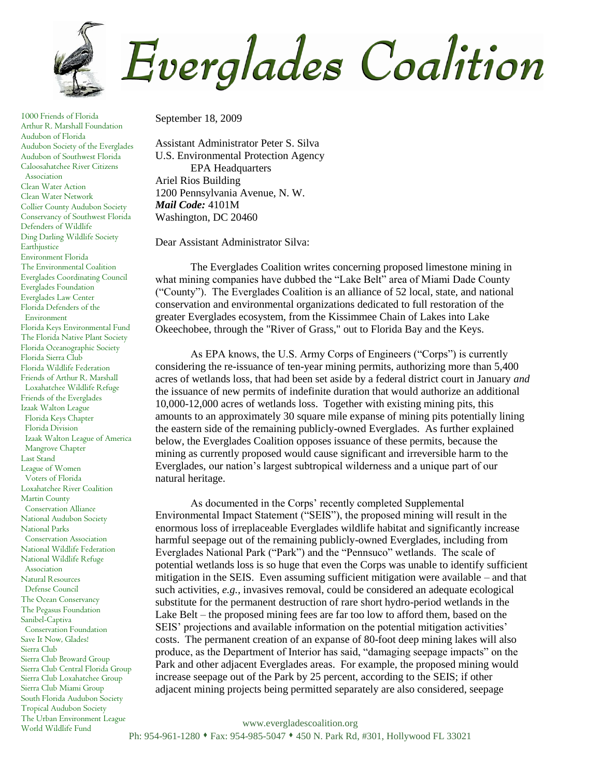

1000 Friends of Florida Arthur R. Marshall Foundation Audubon of Florida Audubon Society of the Everglades Audubon of Southwest Florida Caloosahatchee River Citizens Association Clean Water Action Clean Water Network Collier County Audubon Society Conservancy of Southwest Florida Defenders of Wildlife Ding Darling Wildlife Society Earthjustice Environment Florida The Environmental Coalition Everglades Coordinating Council Everglades Foundation Everglades Law Center Florida Defenders of the Environment Florida Keys Environmental Fund The Florida Native Plant Society Florida Oceanographic Society Florida Sierra Club Florida Wildlife Federation Friends of Arthur R. Marshall Loxahatchee Wildlife Refuge Friends of the Everglades Izaak Walton League Florida Keys Chapter Florida Division Izaak Walton League of America Mangrove Chapter Last Stand League of Women Voters of Florida Loxahatchee River Coalition Martin County Conservation Alliance National Audubon Society National Parks Conservation Association National Wildlife Federation National Wildlife Refuge Association Natural Resources Defense Council The Ocean Conservancy The Pegasus Foundation Sanibel-Captiva Conservation Foundation Save It Now, Glades! Sierra Club Sierra Club Broward Group Sierra Club Central Florida Group Sierra Club Loxahatchee Group Sierra Club Miami Group South Florida Audubon Society Tropical Audubon Society The Urban Environment League World Wildlife Fund

September 18, 2009

Assistant Administrator Peter S. Silva U.S. Environmental Protection Agency EPA Headquarters Ariel Rios Building 1200 Pennsylvania Avenue, N. W. *Mail Code:* 4101M Washington, DC 20460

Dear Assistant Administrator Silva:

The Everglades Coalition writes concerning proposed limestone mining in what mining companies have dubbed the "Lake Belt" area of Miami Dade County ("County"). The Everglades Coalition is an alliance of 52 local, state, and national conservation and environmental organizations dedicated to full restoration of the greater Everglades ecosystem, from the Kissimmee Chain of Lakes into Lake Okeechobee, through the "River of Grass," out to Florida Bay and the Keys.

As EPA knows, the U.S. Army Corps of Engineers ("Corps") is currently considering the re-issuance of ten-year mining permits, authorizing more than 5,400 acres of wetlands loss, that had been set aside by a federal district court in January *and* the issuance of new permits of indefinite duration that would authorize an additional 10,000-12,000 acres of wetlands loss. Together with existing mining pits, this amounts to an approximately 30 square mile expanse of mining pits potentially lining the eastern side of the remaining publicly-owned Everglades. As further explained below, the Everglades Coalition opposes issuance of these permits, because the mining as currently proposed would cause significant and irreversible harm to the Everglades, our nation's largest subtropical wilderness and a unique part of our natural heritage.

As documented in the Corps' recently completed Supplemental Environmental Impact Statement ("SEIS"), the proposed mining will result in the enormous loss of irreplaceable Everglades wildlife habitat and significantly increase harmful seepage out of the remaining publicly-owned Everglades, including from Everglades National Park ("Park") and the "Pennsuco" wetlands. The scale of potential wetlands loss is so huge that even the Corps was unable to identify sufficient mitigation in the SEIS. Even assuming sufficient mitigation were available – and that such activities, *e.g.,* invasives removal, could be considered an adequate ecological substitute for the permanent destruction of rare short hydro-period wetlands in the Lake Belt – the proposed mining fees are far too low to afford them, based on the SEIS' projections and available information on the potential mitigation activities' costs. The permanent creation of an expanse of 80-foot deep mining lakes will also produce, as the Department of Interior has said, "damaging seepage impacts" on the Park and other adjacent Everglades areas. For example, the proposed mining would increase seepage out of the Park by 25 percent, according to the SEIS; if other adjacent mining projects being permitted separately are also considered, seepage